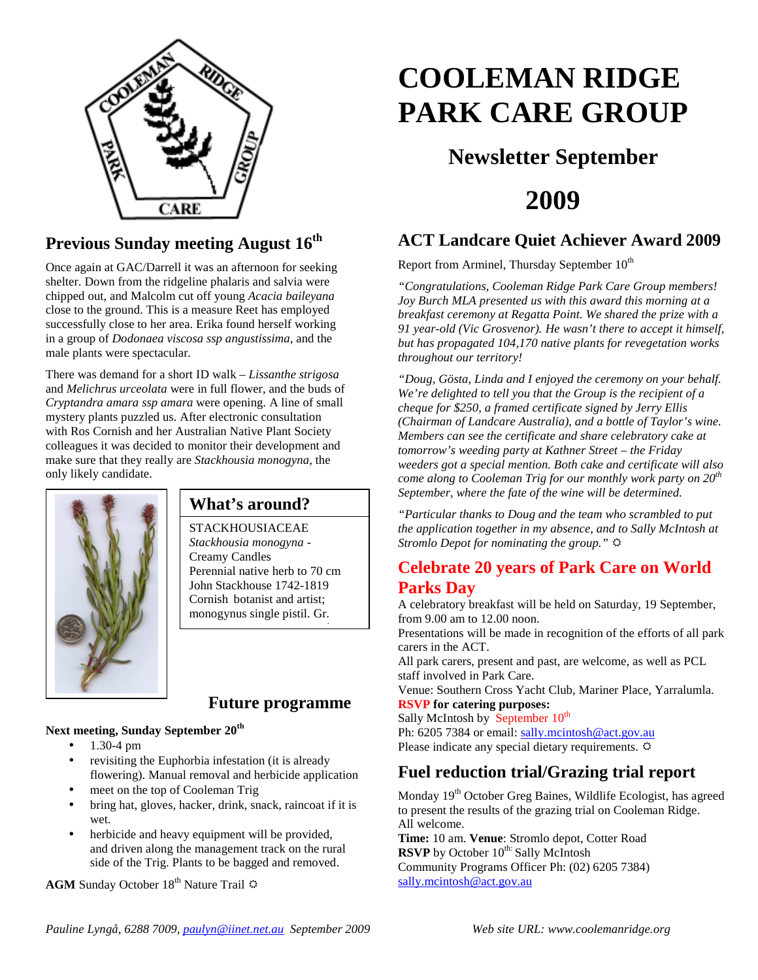

## **Previous Sunday meeting August 16th**

Once again at GAC/Darrell it was an afternoon for seeking shelter. Down from the ridgeline phalaris and salvia were chipped out, and Malcolm cut off young *Acacia baileyana* close to the ground. This is a measure Reet has employed successfully close to her area. Erika found herself working in a group of *Dodonaea viscosa ssp angustissima,* and the male plants were spectacular*.* 

There was demand for a short ID walk – *Lissanthe strigosa* and *Melichrus urceolata* were in full flower, and the buds of *Cryptandra amara ssp amara* were opening. A line of small mystery plants puzzled us. After electronic consultation with Ros Cornish and her Australian Native Plant Society colleagues it was decided to monitor their development and make sure that they really are *Stackhousia monogyna*, the only likely candidate.



## **What's around?**

STACKHOUSIACEAE *Stackhousia monogyna* - Creamy Candles Perennial native herb to 70 cm John Stackhouse 1742-1819 Cornish botanist and artist; monogynus single pistil. Gr*. monos* + *gyne* woman

#### **Future programme**

#### **Next meeting, Sunday September 20th**

- 1.30-4 pm
- revisiting the Euphorbia infestation (it is already flowering). Manual removal and herbicide application
- meet on the top of Cooleman Trig
- bring hat, gloves, hacker, drink, snack, raincoat if it is wet.
- herbicide and heavy equipment will be provided, and driven along the management track on the rural side of the Trig. Plants to be bagged and removed.

**AGM** Sunday October 18<sup>th</sup> Nature Trail  $\Phi$ 

# **COOLEMAN RIDGE PARK CARE GROUP**

## **Newsletter September**

## **2009**

## **ACT Landcare Quiet Achiever Award 2009**

Report from Arminel, Thursday September  $10^{th}$ 

*"Congratulations, Cooleman Ridge Park Care Group members! Joy Burch MLA presented us with this award this morning at a breakfast ceremony at Regatta Point. We shared the prize with a 91 year-old (Vic Grosvenor). He wasn't there to accept it himself, but has propagated 104,170 native plants for revegetation works throughout our territory!* 

*"Doug, Gösta, Linda and I enjoyed the ceremony on your behalf. We're delighted to tell you that the Group is the recipient of a cheque for \$250, a framed certificate signed by Jerry Ellis (Chairman of Landcare Australia), and a bottle of Taylor's wine. Members can see the certificate and share celebratory cake at tomorrow's weeding party at Kathner Street – the Friday weeders got a special mention. Both cake and certificate will also come along to Cooleman Trig for our monthly work party on 20th September, where the fate of the wine will be determined.* 

*"Particular thanks to Doug and the team who scrambled to put the application together in my absence, and to Sally McIntosh at Stromlo Depot for nominating the group."* 

#### **Celebrate 20 years of Park Care on World Parks Day**

A celebratory breakfast will be held on Saturday, 19 September, from 9.00 am to 12.00 noon.

Presentations will be made in recognition of the efforts of all park carers in the ACT.

All park carers, present and past, are welcome, as well as PCL staff involved in Park Care.

Venue: Southern Cross Yacht Club, Mariner Place, Yarralumla. **RSVP for catering purposes:**

Sally McIntosh by September 10<sup>th</sup> Ph: 6205 7384 or email: sally.mcintosh@act.gov.au Please indicate any special dietary requirements.  $\ddot{\varphi}$ 

## **Fuel reduction trial/Grazing trial report**

Monday 19<sup>th</sup> October Greg Baines, Wildlife Ecologist, has agreed to present the results of the grazing trial on Cooleman Ridge. All welcome.

**Time:** 10 am. **Venue**: Stromlo depot, Cotter Road **RSVP** by October 10<sup>th:</sup> Sally McIntosh Community Programs Officer Ph: (02) 6205 7384) sally.mcintosh@act.gov.au